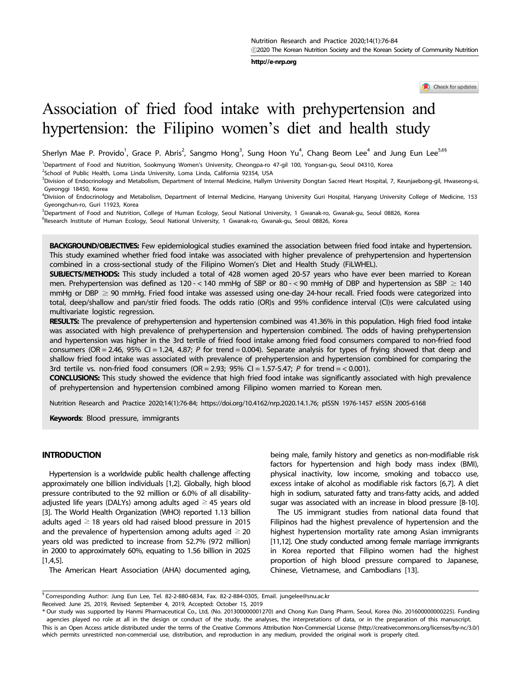**http://e-nrp.org**

Check for updates

# Association of fried food intake with prehypertension and hypertension: the Filipino women's diet and health study

Sherlyn Mae P. Provido<sup>1</sup>, Grace P. Abris<sup>2</sup>, Sangmo Hong<sup>3</sup>, Sung Hoon Yu<sup>4</sup>, Chang Beom Lee<sup>4</sup> and Jung Eun Lee<sup>5,6§</sup>

<sup>1</sup> Department of Food and Nutrition, Sookmyung Women's University, Cheongpa-ro 47-gil 100, Yongsan-gu, Seoul 04310, Korea

<sup>2</sup>School of Public Health, Loma Linda University, Loma Linda, California 92354, USA

<sup>3</sup>Division of Endocrinology and Metabolism, Department of Internal Medicine, Hallym University Dongtan Sacred Heart Hospital, 7, Keunjaebong-gil, Hwaseong-si, Gyeonggi 18450, Korea

4 Division of Endocrinology and Metabolism, Department of Internal Medicine, Hanyang University Guri Hospital, Hanyang University College of Medicine, 153 Gyeongchun-ro, Guri 11923, Korea

<sup>5</sup> Department of Food and Nutrition, College of Human Ecology, Seoul National University, 1 Gwanak-ro, Gwanak-gu, Seoul 08826, Korea 6 Europe Contract College of Human Ecology, Seoul and The Cumpaking Cumpaking Cumpaking <sup>6</sup>Research Institute of Human Ecology, Seoul National University, 1 Gwanak-ro, Gwanak-gu, Seoul 08826, Korea

**BACKGROUND/OBJECTIVES:** Few epidemiological studies examined the association between fried food intake and hypertension. This study examined whether fried food intake was associated with higher prevalence of prehypertension and hypertension combined in a cross-sectional study of the Filipino Women's Diet and Health Study (FiLWHEL).

**SUBJECTS/METHODS:** This study included a total of 428 women aged 20-57 years who have ever been married to Korean men. Prehypertension was defined as 120 - < 140 mmHg of SBP or 80 - < 90 mmHg of DBP and hypertension as SBP  $\geq$  140 mmHg or DBP  $\geq$  90 mmHg. Fried food intake was assessed using one-day 24-hour recall. Fried foods were categorized into total, deep/shallow and pan/stir fried foods. The odds ratio (OR)s and 95% confidence interval (CI)s were calculated using multivariate logistic regression.

**RESULTS:** The prevalence of prehypertension and hypertension combined was 41.36% in this population. High fried food intake was associated with high prevalence of prehypertension and hypertension combined. The odds of having prehypertension and hypertension was higher in the 3rd tertile of fried food intake among fried food consumers compared to non-fried food consumers (OR = 2.46, 95% CI = 1.24, 4.87; *P* for trend = 0.004). Separate analysis for types of frying showed that deep and shallow fried food intake was associated with prevalence of prehypertension and hypertension combined for comparing the 3rd tertile vs. non-fried food consumers (OR = 2.93; 95% CI = 1.57-5.47; *P* for trend = < 0.001).

**CONCLUSIONS:** This study showed the evidence that high fried food intake was significantly associated with high prevalence of prehypertension and hypertension combined among Filipino women married to Korean men.

Nutrition Research and Practice 2020;14(1):76-84; https://doi.org/10.4162/nrp.2020.14.1.76; pISSN 1976-1457 eISSN 2005-6168

**Keywords**: Blood pressure, immigrants

# **INTRODUCTION**

Hypertension is a worldwide public health challenge affecting approximately one billion individuals [1,2]. Globally, high blood pressure contributed to the 92 million or 6.0% of all disabilityadjusted life years (DALYs) among adults aged  $\geq$  45 years old [3]. The World Health Organization (WHO) reported 1.13 billion adults aged  $\geq$  18 years old had raised blood pressure in 2015 and the prevalence of hypertension among adults aged  $\geq$  20 years old was predicted to increase from 52.7% (972 million) in 2000 to approximately 60%, equating to 1.56 billion in 2025  $[1,4,5]$ .

The American Heart Association (AHA) documented aging,

being male, family history and genetics as non-modifiable risk factors for hypertension and high body mass index (BMI), physical inactivity, low income, smoking and tobacco use, excess intake of alcohol as modifiable risk factors [6,7]. A diet high in sodium, saturated fatty and trans-fatty acids, and added sugar was associated with an increase in blood pressure [8-10].

The US immigrant studies from national data found that Filipinos had the highest prevalence of hypertension and the highest hypertension mortality rate among Asian immigrants [11,12]. One study conducted among female marriage immigrants in Korea reported that Filipino women had the highest proportion of high blood pressure compared to Japanese, Chinese, Vietnamese, and Cambodians [13].

Received: June 25, 2019, Revised: September 4, 2019, Accepted: October 15, 2019

<sup>§</sup> Corresponding Author: Jung Eun Lee, Tel. 82-2-880-6834, Fax. 82-2-884-0305, Email. jungelee@snu.ac.kr

<sup>\*</sup> Our study was supported by Hanmi Pharmaceutical Co., Ltd, (No. 201300000001270) and Chong Kun Dang Pharm. Seoul, Korea (No. 201600000000225). Funding agencies played no role at all in the design or conduct of the study, the analyses, the interpretations of data, or in the preparation of this manuscript. This is an Open Access article distributed under the terms of the Creative Commons Attribution Non-Commercial License (http://creativecommons.org/licenses/by-nc/3.0/) which permits unrestricted non-commercial use, distribution, and reproduction in any medium, provided the original work is properly cited.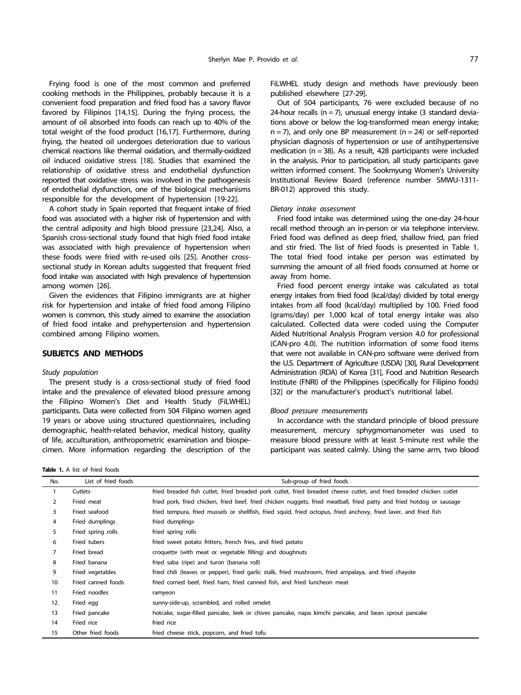Frying food is one of the most common and preferred cooking methods in the Philippines, probably because it is a convenient food preparation and fried food has a savory flavor favored by Filipinos [14,15]. During the frying process, the amount of oil absorbed into foods can reach up to 40% of the total weight of the food product [16,17]. Furthermore, during frying, the heated oil undergoes deterioration due to various chemical reactions like thermal oxidation, and thermally-oxidized oil induced oxidative stress [18]. Studies that examined the relationship of oxidative stress and endothelial dysfunction reported that oxidative stress was involved in the pathogenesis of endothelial dysfunction, one of the biological mechanisms responsible for the development of hypertension [19-22].

A cohort study in Spain reported that frequent intake of fried food was associated with a higher risk of hypertension and with the central adiposity and high blood pressure [23,24]. Also, a Spanish cross-sectional study found that high fried food intake was associated with high prevalence of hypertension when these foods were fried with re-used oils [25]. Another crosssectional study in Korean adults suggested that frequent fried food intake was associated with high prevalence of hypertension among women [26].

Given the evidences that Filipino immigrants are at higher risk for hypertension and intake of fried food among Filipino women is common, this study aimed to examine the association of fried food intake and prehypertension and hypertension combined among Filipino women.

# **SUBJETCS AND METHODS**

#### *Study population*

The present study is a cross-sectional study of fried food intake and the prevalence of elevated blood pressure among the Filipino Women's Diet and Health Study (FiLWHEL) participants. Data were collected from 504 Filipino women aged 19 years or above using structured questionnaires, including demographic, health-related behavior, medical history, quality of life, acculturation, anthropometric examination and biospecimen. More information regarding the description of the

**Table 1.** A list of fried foods

FiLWHEL study design and methods have previously been published elsewhere [27-29].

Out of 504 participants, 76 were excluded because of no 24-hour recalls  $(n = 7)$ , unusual energy intake  $(3 \text{ standard deviation})$ tions above or below the log-transformed mean energy intake;  $n = 7$ ), and only one BP measurement ( $n = 24$ ) or self-reported physician diagnosis of hypertension or use of antihypertensive medication  $(n = 38)$ . As a result, 428 participants were included in the analysis. Prior to participation, all study participants gave written informed consent. The Sookmyung Women's University Institutional Review Board (reference number SMWU-1311- BR-012) approved this study.

#### *Dietary intake assessment*

Fried food intake was determined using the one-day 24-hour recall method through an in-person or via telephone interview. Fried food was defined as deep fried, shallow fried, pan fried and stir fried. The list of fried foods is presented in Table 1. The total fried food intake per person was estimated by summing the amount of all fried foods consumed at home or away from home.

Fried food percent energy intake was calculated as total energy intakes from fried food (kcal/day) divided by total energy intakes from all food (kcal/day) multiplied by 100. Fried food (grams/day) per 1,000 kcal of total energy intake was also calculated. Collected data were coded using the Computer Aided Nutritional Analysis Program version 4.0 for professional (CAN-pro 4.0). The nutrition information of some food items that were not available in CAN-pro software were derived from the U.S. Department of Agriculture (USDA) [30], Rural Development Administration (RDA) of Korea [31], Food and Nutrition Research Institute (FNRI) of the Philippines (specifically for Filipino foods) [32] or the manufacturer's product's nutritional label.

#### *Blood pressure measurements*

In accordance with the standard principle of blood pressure measurement, mercury sphygmomanometer was used to measure blood pressure with at least 5-minute rest while the participant was seated calmly. Using the same arm, two blood

| No.            | List of fried foods | Sub-group of fried foods                                                                                              |
|----------------|---------------------|-----------------------------------------------------------------------------------------------------------------------|
| $\mathbf{1}$   | Cutlets             | fried breaded fish cutlet, fried breaded pork cutlet, fried breaded cheese cutlet, and fried breaded chicken cutlet   |
| $\overline{2}$ | Fried meat          | fried pork, fried chicken, fried beef, fried chicken nuggets, fried meatball, fried patty and fried hotdog or sausage |
| 3              | Fried seafood       | fried tempura, fried mussels or shellfish, fried squid, fried octopus, fried anchovy, fried laver, and fried fish     |
| 4              | Fried dumplings     | fried dumplings                                                                                                       |
| 5              | Fried spring rolls  | fried spring rolls                                                                                                    |
| 6              | Fried tubers        | fried sweet potato fritters, french fries, and fried potato                                                           |
| 7              | Fried bread         | croquette (with meat or vegetable filling) and doughnuts                                                              |
| 8              | Fried banana        | fried saba (ripe) and turon (banana roll)                                                                             |
| 9              | Fried vegetables    | fried chili (leaves or pepper), fried garlic stalk, fried mushroom, fried ampalaya, and fried chayote                 |
| 10             | Fried canned foods  | fried corned beef, fried ham, fried canned fish, and fried luncheon meat                                              |
| 11             | Fried noodles       | ramyeon                                                                                                               |
| 12             | Fried egg           | sunny-side-up, scrambled, and rolled omelet                                                                           |
| 13             | Fried pancake       | hotcake, sugar-filled pancake, leek or chives pancake, napa kimchi pancake, and bean sprout pancake                   |
| 14             | Fried rice          | fried rice                                                                                                            |
| 15             | Other fried foods   | fried cheese stick, popcorn, and fried tofu                                                                           |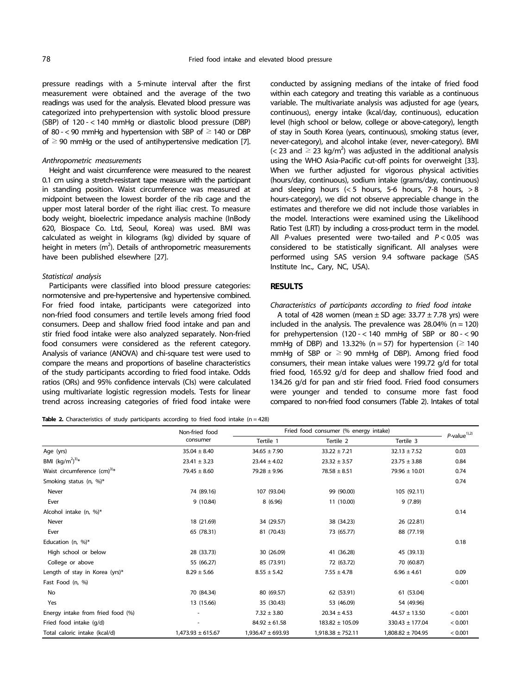pressure readings with a 5-minute interval after the first measurement were obtained and the average of the two readings was used for the analysis. Elevated blood pressure was categorized into prehypertension with systolic blood pressure (SBP) of 120 - < 140 mmHg or diastolic blood pressure (DBP) of 80 - < 90 mmHg and hypertension with SBP of  $\geq$  140 or DBP of  $\geq$  90 mmHg or the used of antihypertensive medication [7].

## *Anthropometric measurements*

Height and waist circumference were measured to the nearest 0.1 cm using a stretch-resistant tape measure with the participant in standing position. Waist circumference was measured at midpoint between the lowest border of the rib cage and the upper most lateral border of the right iliac crest. To measure body weight, bioelectric impedance analysis machine (InBody 620, Biospace Co. Ltd, Seoul, Korea) was used. BMI was calculated as weight in kilograms (kg) divided by square of height in meters  $(m^2)$ . Details of anthropometric measurements have been published elsewhere [27].

## *Statistical analysis*

Participants were classified into blood pressure categories: normotensive and pre-hypertensive and hypertensive combined. For fried food intake, participants were categorized into non-fried food consumers and tertile levels among fried food consumers. Deep and shallow fried food intake and pan and stir fried food intake were also analyzed separately. Non-fried food consumers were considered as the referent category. Analysis of variance (ANOVA) and chi-square test were used to compare the means and proportions of baseline characteristics of the study participants according to fried food intake. Odds ratios (ORs) and 95% confidence intervals (CIs) were calculated using multivariate logistic regression models. Tests for linear trend across increasing categories of fried food intake were

conducted by assigning medians of the intake of fried food within each category and treating this variable as a continuous variable. The multivariate analysis was adjusted for age (years, continuous), energy intake (kcal/day, continuous), education level (high school or below, college or above-category), length of stay in South Korea (years, continuous), smoking status (ever, never-category), and alcohol intake (ever, never-category). BMI  $\left($  < 23 and  $\geq$  23 kg/m<sup>2</sup>) was adjusted in the additional analysis using the WHO Asia-Pacific cut-off points for overweight [33]. When we further adjusted for vigorous physical activities (hours/day, continuous), sodium intake (grams/day, continuous) and sleeping hours  $(< 5$  hours, 5-6 hours, 7-8 hours,  $> 8$ hours-category), we did not observe appreciable change in the estimates and therefore we did not include those variables in the model. Interactions were examined using the Likelihood Ratio Test (LRT) by including a cross-product term in the model. All *P*-values presented were two-tailed and *P* < 0.05 was considered to be statistically significant. All analyses were performed using SAS version 9.4 software package (SAS Institute Inc., Cary, NC, USA).

## **RESULTS**

## *Characteristics of participants according to fried food intake*

A total of 428 women (mean  $\pm$  SD age: 33.77  $\pm$  7.78 yrs) were included in the analysis. The prevalence was  $28.04\%$  (n = 120) for prehypertension  $(120 - < 140$  mmHg of SBP or  $80 < 90$ mmHg of DBP) and 13.32% (n = 57) for hypertension ( $\geq$  140 mmHg of SBP or  $\geq$  90 mmHg of DBP). Among fried food consumers, their mean intake values were 199.72 g/d for total fried food, 165.92 g/d for deep and shallow fried food and 134.26 g/d for pan and stir fried food. Fried food consumers were younger and tended to consume more fast food compared to non-fried food consumers (Table 2). Intakes of total

**Table 2.** Characteristics of study participants according to fried food intake (n = 428)

|                                   | Non-fried food        | Fried food consumer (% energy intake) | $P$ -value <sup>1),2)</sup> |                       |         |
|-----------------------------------|-----------------------|---------------------------------------|-----------------------------|-----------------------|---------|
|                                   | consumer              | Tertile 2<br>Tertile 1                |                             | Tertile 3             |         |
| Age (yrs)                         | $35.04 \pm 8.40$      | $34.65 \pm 7.90$                      | $33.22 \pm 7.21$            | $32.13 \pm 7.52$      | 0.03    |
| BMI $(kq/m^2)^{3/2}$              | $23.41 \pm 3.23$      | $23.44 \pm 4.02$                      | $23.32 \pm 3.57$            | $23.75 \pm 3.88$      | 0.84    |
| Waist circumference $(cm)^{3)}$ * | $79.45 \pm 8.60$      | $79.28 \pm 9.96$                      | $78.58 \pm 8.51$            | $79.96 \pm 10.01$     | 0.74    |
| Smoking status (n, %)*            |                       |                                       |                             |                       | 0.74    |
| Never                             | 74 (89.16)            | 107 (93.04)                           | 99 (90.00)                  | 105 (92.11)           |         |
| Ever                              | 9 (10.84)             | 8(6.96)                               | 11 (10.00)                  | 9(7.89)               |         |
| Alcohol intake (n, %)*            |                       |                                       |                             |                       | 0.14    |
| Never                             | 18 (21.69)            | 34 (29.57)                            | 38 (34.23)                  | 26 (22.81)            |         |
| Ever                              | 65 (78.31)            | 81 (70.43)                            | 73 (65.77)                  | 88 (77.19)            |         |
| Education $(n, %)$ *              |                       |                                       |                             |                       | 0.18    |
| High school or below              | 28 (33.73)            | 30 (26.09)                            | 41 (36.28)                  | 45 (39.13)            |         |
| College or above                  | 55 (66.27)            | 85 (73.91)                            | 72 (63.72)                  | 70 (60.87)            |         |
| Length of stay in Korea (yrs)*    | $8.29 \pm 5.66$       | $8.55 \pm 5.42$                       | $7.55 \pm 4.78$             | $6.96 \pm 4.61$       | 0.09    |
| Fast Food (n, %)                  |                       |                                       |                             |                       | < 0.001 |
| No                                | 70 (84.34)            | 80 (69.57)                            | 62 (53.91)                  | 61 (53.04)            |         |
| Yes                               | 13 (15.66)            | 35 (30.43)                            | 53 (46.09)                  | 54 (49.96)            |         |
| Energy intake from fried food (%) |                       | $7.32 \pm 3.80$                       | $20.34 \pm 4.53$            | $44.57 \pm 13.50$     | < 0.001 |
| Fried food intake (g/d)           |                       | $84.92 \pm 61.58$                     | 183.82 ± 105.09             | 330.43 ± 177.04       | < 0.001 |
| Total caloric intake (kcal/d)     | $1,473.93 \pm 615.67$ | $1,936.47 \pm 693.93$                 | $1,918.38 \pm 752.11$       | $1,808.82 \pm 704.95$ | < 0.001 |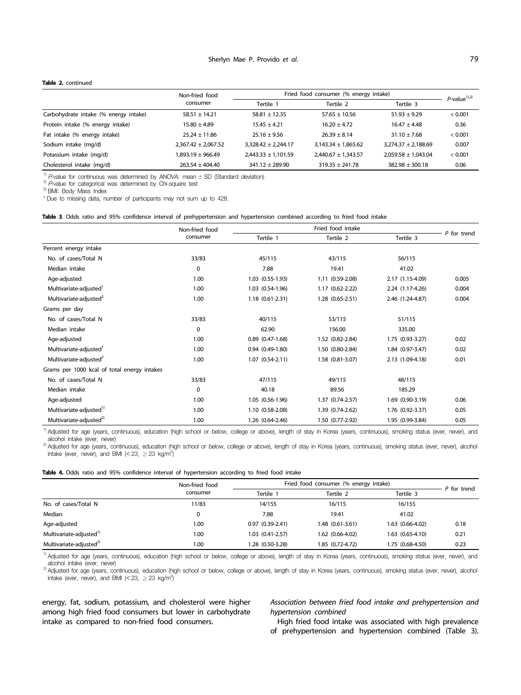#### **Table 2.** continued

|                                       | Non-fried food          | Fried food consumer (% energy intake) | $P$ -value <sup>1),2)</sup> |                         |         |
|---------------------------------------|-------------------------|---------------------------------------|-----------------------------|-------------------------|---------|
|                                       | consumer                | Tertile 1                             | Tertile 2                   |                         |         |
| Carbohydrate intake (% energy intake) | $58.51 \pm 14.21$       | $58.81 \pm 12.35$                     | $57.65 \pm 10.56$           | $51.93 \pm 9.29$        | < 0.001 |
| Protein intake (% energy intake)      | $15.80 \pm 4.89$        | $15.45 \pm 4.21$                      | $16.20 \pm 4.72$            | $16.47 \pm 4.48$        | 0.36    |
| Fat intake (% energy intake)          | $25.24 \pm 11.86$       | $25.16 \pm 9.56$                      | $26.39 \pm 8.14$            | $31.10 \pm 7.68$        | < 0.001 |
| Sodium intake (mg/d)                  | $2.367.42 \pm 2.067.52$ | $3.328.42 \pm 2.244.17$               | $3.143.34 \pm 1.865.62$     | $3.274.37 \pm 2.188.69$ | 0.007   |
| Potassium intake (mg/d)               | 1,893.19 ± 966.49       | $2,443.33 \pm 1,101.59$               | $2.440.67 \pm 1.343.57$     | $2.059.58 \pm 1.043.04$ | < 0.001 |
| Cholesterol intake (mg/d)             | $263.54 \pm 404.40$     | $341.12 \pm 289.90$                   | $319.35 + 241.78$           | $382.98 \pm 300.18$     | 0.06    |

<sup>1)</sup> P-value for continuous was determined by ANOVA: mean  $\pm$  SD (Standard deviation) <sup>2)</sup> P-value for categorical was determined by Chi-square test <sup>3)</sup> BMI: Body Mass Index

\* Due to missing data, number of participants may not sum up to 428.

**Table 3**. Odds ratio and 95% confidence interval of prehypertension and hypertension combined according to fried food intake

|                                             | Non-fried food |                      | Fried food intake |                  |             |  |  |  |
|---------------------------------------------|----------------|----------------------|-------------------|------------------|-------------|--|--|--|
|                                             | consumer       | Tertile 1            | Tertile 2         | Tertile 3        | P for trend |  |  |  |
| Percent energy intake                       |                |                      |                   |                  |             |  |  |  |
| No. of cases/Total N                        | 33/83          | 45/115               | 43/115            | 56/115           |             |  |  |  |
| Median intake                               | $\mathbf 0$    | 7.88                 | 19.41             | 41.02            |             |  |  |  |
| Age-adjusted                                | 1.00           | 1.03 (0.55-1.93)     | 1.11 (0.59-2.08)  | 2.17 (1.15-4.09) | 0.005       |  |  |  |
| Multivariate-adjusted                       | 1.00           | 1.03 (0.54-1.96)     | 1.17 (0.62-2.22)  | 2.24 (1.17-4.26) | 0.004       |  |  |  |
| Multivariate-adjusted <sup>2</sup>          | 1.00           | $1.18(0.61 - 2.31)$  | 1.28 (0.65-2.51)  | 2.46 (1.24-4.87) | 0.004       |  |  |  |
| Grams per day                               |                |                      |                   |                  |             |  |  |  |
| No. of cases/Total N                        | 33/83          | 40/115               | 53/115            | 51/115           |             |  |  |  |
| Median intake                               | $\mathbf 0$    | 62.90                | 156.00            | 335.00           |             |  |  |  |
| Age-adjusted                                | 1.00           | $0.89$ $(0.47-1.68)$ | 1.52 (0.82-2.84)  | 1.75 (0.93-3.27) | 0.02        |  |  |  |
| Multivariate-adjusted <sup>1</sup>          | 1.00           | $0.94(0.49-1.80)$    | 1.50 (0.80-2.84)  | 1.84 (0.97-3.47) | 0.02        |  |  |  |
| Multivariate-adjusted <sup>2</sup>          | 1.00           | 1.07 (0.54-2.11)     | 1.58 (0.81-3.07)  | 2.13 (1.09-4.18) | 0.01        |  |  |  |
| Grams per 1000 kcal of total energy intakes |                |                      |                   |                  |             |  |  |  |
| No. of cases/Total N                        | 33/83          | 47/115               | 49/115            | 48/115           |             |  |  |  |
| Median intake                               | 0              | 40.18                | 89.56             | 185.29           |             |  |  |  |
| Age-adjusted                                | 1.00           | 1.05 (0.56-1.96)     | 1.37 (0.74-2.57)  | 1.69 (0.90-3.19) | 0.06        |  |  |  |
| Multivariate-adjusted <sup>1)</sup>         | 1.00           | 1.10 (0.58-2.08)     | 1.39 (0.74-2.62)  | 1.76 (0.92-3.37) | 0.05        |  |  |  |
| Multivariate-adjusted <sup>2)</sup>         | 1.00           | 1.26 (0.64-2.46)     | 1.50 (0.77-2.92)  | 1.95 (0.99-3.84) | 0.05        |  |  |  |

<sup>1)</sup> Adjusted for age (years, continuous), education (high school or below, college or above), length of stay in Korea (years, continuous), smoking status (ever, never), and

alcohol intake (ever, never)<br><sup>2)</sup> Adjusted for age (years, continuous), education (high school or below, college or above), length of stay in Korea (years, continuous), smoking status (ever, never), alcohol intake (ever, never), and BMI (< 23,  $\geq$  23 kg/m<sup>2</sup>)

|                                     | Non-fried food | Fried food consumer (% energy intake) | P for trend      |                      |      |
|-------------------------------------|----------------|---------------------------------------|------------------|----------------------|------|
|                                     | consumer       | Tertile                               | Tertile 2        | Tertile 3            |      |
| No. of cases/Total N                | 11/83          | 14/155                                | 16/115           | 16/155               |      |
| Median                              | 0              | 7.88                                  | 19.41            | 41.02                |      |
| Age-adjusted                        | 1.00           | $0.97(0.39-2.41)$                     | 1.48 (0.61-3.61) | 1.63 (0.66-4.02)     | 0.18 |
| Multivariate-adjusted <sup>1)</sup> | 1.00           | $1.03$ $(0.41 - 2.57)$                | 1.62 (0.66-4.02) | $1.63$ $(0.65-4.10)$ | 0.21 |
| Multivariate-adjusted <sup>2)</sup> | 1.00           | 1.28 (0.50-3.28)                      | 1.85 (0.72-4.72) | 1.75 (0.68-4.50)     | 0.23 |

<sup>1)</sup> Adjusted for age (years, continuous), education (high school or below, college or above), length of stay in Korea (years, continuous), smoking status (ever, never), and<br>alcohol intake (ever, never)

2) Adjusted for age (years, continuous), education (high school or below, college or above), length of stay in Korea (years, continuous), smoking status (ever, never), alcohol intake (ever, never), and BMI (< 23,  $\geq$  23 kg/m<sup>2</sup>)

energy, fat, sodium, potassium, and cholesterol were higher among high fried food consumers but lower in carbohydrate intake as compared to non-fried food consumers.

*Association between fried food intake and prehypertension and hypertension combined*

High fried food intake was associated with high prevalence of prehypertension and hypertension combined (Table 3).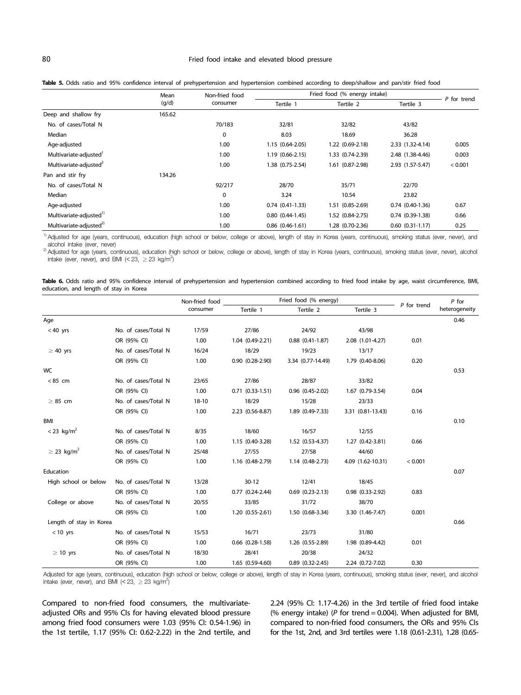# 80 Fried food intake and elevated blood pressure

|  |  |  |  |  | Table 5. Odds ratio and 95% confidence interval of prehypertension and hypertension combined according to deep/shallow and pan/stir fried food |  |  |  |  |
|--|--|--|--|--|------------------------------------------------------------------------------------------------------------------------------------------------|--|--|--|--|
|  |  |  |  |  |                                                                                                                                                |  |  |  |  |

|                                     | Mean   | Non-fried food | Fried food (% energy intake) |                  |                      |             |
|-------------------------------------|--------|----------------|------------------------------|------------------|----------------------|-------------|
|                                     | (g/d)  | consumer       | Tertile 1                    | Tertile 2        | Tertile 3            | P for trend |
| Deep and shallow fry                | 165.62 |                |                              |                  |                      |             |
| No. of cases/Total N                |        | 70/183         | 32/81                        | 32/82            | 43/82                |             |
| Median                              |        | 0              | 8.03                         | 18.69            | 36.28                |             |
| Age-adjusted                        |        | 1.00           | 1.15 (0.64-2.05)             | 1.22 (0.69-2.18) | 2.33 (1.32-4.14)     | 0.005       |
| Multivariate-adjusted <sup>1</sup>  |        | 1.00           | 1.19 (0.66-2.15)             | 1.33 (0.74-2.39) | 2.48 (1.38-4.46)     | 0.003       |
| Multivariate-adjusted <sup>2</sup>  |        | 1.00           | 1.38 (0.75-2.54)             | 1.61 (0.87-2.98) | 2.93 (1.57-5.47)     | < 0.001     |
| Pan and stir fry                    | 134.26 |                |                              |                  |                      |             |
| No. of cases/Total N                |        | 92/217         | 28/70                        | 35/71            | 22/70                |             |
| Median                              |        | $\mathbf 0$    | 3.24                         | 10.54            | 23.82                |             |
| Age-adjusted                        |        | 1.00           | $0.74$ $(0.41-1.33)$         | 1.51 (0.85-2.69) | $0.74$ $(0.40-1.36)$ | 0.67        |
| Multivariate-adjusted <sup>1)</sup> |        | 1.00           | $0.80(0.44-1.45)$            | 1.52 (0.84-2.75) | $0.74(0.39-1.38)$    | 0.66        |
| Multivariate-adjusted <sup>2)</sup> |        | 1.00           | $0.86$ $(0.46 - 1.61)$       | 1.28 (0.70-2.36) | $0.60$ $(0.31-1.17)$ | 0.25        |

<sup>1)</sup> Adjusted for age (years, continuous), education (high school or below, college or above), length of stay in Korea (years, continuous), smoking status (ever, never), and<br>alcohol intake (ever, never)

alcohol intake (ever, never),  $\frac{1}{2}$  Adjusted for a chool or below, college or above), length of stay in Korea (years, continuous), smoking status (ever, never), alcohol intake (ever, never), and BMI (< 23,  $\geq$  23 kg/m<sup>2</sup>)

|  |  |                                        |  |  |  |  |  |  | Table 6. Odds ratio and 95% confidence interval of prehypertension and hypertension combined according to fried food intake by age, waist circumference, BMI, |  |
|--|--|----------------------------------------|--|--|--|--|--|--|---------------------------------------------------------------------------------------------------------------------------------------------------------------|--|
|  |  | education, and length of stay in Korea |  |  |  |  |  |  |                                                                                                                                                               |  |

|                             |                      | Non-fried food | Fried food (% energy)  |                        | $P$ for              |               |               |
|-----------------------------|----------------------|----------------|------------------------|------------------------|----------------------|---------------|---------------|
|                             |                      | consumer       | Tertile 2<br>Tertile 1 |                        | Tertile 3            | $P$ for trend | heterogeneity |
| Age                         |                      |                |                        |                        |                      |               | 0.46          |
| $< 40$ yrs                  | No. of cases/Total N | 17/59          | 27/86                  | 24/92                  | 43/98                |               |               |
|                             | OR (95% CI)          | 1.00           | 1.04 (0.49-2.21)       | $0.88$ $(0.41 - 1.87)$ | 2.08 (1.01-4.27)     | 0.01          |               |
| $\geq 40$ yrs               | No. of cases/Total N | 16/24          | 18/29                  | 19/23                  | 13/17                |               |               |
|                             | OR (95% CI)          | 1.00           | $0.90(0.28-2.90)$      | 3.34 (0.77-14.49)      | 1.79 (0.40-8.06)     | 0.20          |               |
| <b>WC</b>                   |                      |                |                        |                        |                      |               | 0.53          |
| < 85 cm                     | No. of cases/Total N | 23/65          | 27/86                  | 28/87                  | 33/82                |               |               |
|                             | OR (95% CI)          | 1.00           | $0.71$ $(0.33-1.51)$   | $0.96$ $(0.45-2.02)$   | 1.67 (0.79-3.54)     | 0.04          |               |
| $\geq$ 85 cm                | No. of cases/Total N | 18-10          | 18/29                  | 15/28                  | 23/33                |               |               |
|                             | OR (95% CI)          | 1.00           | 2.23 (0.56-8.87)       | 1.89 (0.49-7.33)       | 3.31 (0.81-13.43)    | 0.16          |               |
| <b>BMI</b>                  |                      |                |                        |                        |                      |               | 0.10          |
| $< 23$ kg/m <sup>2</sup>    | No. of cases/Total N | 8/35           | 18/60                  | 16/57                  | 12/55                |               |               |
|                             | OR (95% CI)          | 1.00           | 1.15 (0.40-3.28)       | 1.52 (0.53-4.37)       | 1.27 (0.42-3.81)     | 0.66          |               |
| $\geq$ 23 kg/m <sup>2</sup> | No. of cases/Total N | 25/48          | 27/55                  | 27/58                  | 44/60                |               |               |
|                             | OR (95% CI)          | 1.00           | 1.16 (0.48-2.79)       | 1.14 (0.48-2.73)       | 4.09 (1.62-10.31)    | < 0.001       |               |
| Education                   |                      |                |                        |                        |                      |               | 0.07          |
| High school or below        | No. of cases/Total N | 13/28          | $30 - 12$              | 12/41                  | 18/45                |               |               |
|                             | OR (95% CI)          | 1.00           | $0.77$ $(0.24 - 2.44)$ | $0.69$ $(0.23-2.13)$   | $0.98$ $(0.33-2.92)$ | 0.83          |               |
| College or above            | No. of cases/Total N | 20/55          | 33/85                  | 31/72                  | 38/70                |               |               |
|                             | OR (95% CI)          | 1.00           | $1.20(0.55-2.61)$      | 1.50 (0.68-3.34)       | 3.30 (1.46-7.47)     | 0.001         |               |
| Length of stay in Korea     |                      |                |                        |                        |                      |               | 0.66          |
| $< 10$ yrs                  | No. of cases/Total N | 15/53          | 16/71                  | 23/73                  | 31/80                |               |               |
|                             | OR (95% CI)          | 1.00           | $0.66$ $(0.28-1.58)$   | 1.26 (0.55-2.89)       | 1.98 (0.89-4.42)     | 0.01          |               |
| $\geq$ 10 yrs               | No. of cases/Total N | 18/30          | 28/41                  | 20/38                  | 24/32                |               |               |
|                             | OR (95% CI)          | 1.00           | 1.65 (0.59-4.60)       | $0.89$ $(0.32 - 2.45)$ | 2.24 (0.72-7.02)     | 0.30          |               |

Adjusted for age (years, continuous), education (high school or below, college or above), length of stay in Korea (years, continuous), smoking status (ever, never), and alcohol intake (ever, never), and BMI (< 23,  $\geq$  23 kg/m<sup>2</sup>)

Compared to non-fried food consumers, the multivariateadjusted ORs and 95% CIs for having elevated blood pressure among fried food consumers were 1.03 (95% CI: 0.54-1.96) in the 1st tertile, 1.17 (95% CI: 0.62-2.22) in the 2nd tertile, and 2.24 (95% CI: 1.17-4.26) in the 3rd tertile of fried food intake (% energy intake) (*P* for trend = 0.004). When adjusted for BMI, compared to non-fried food consumers, the ORs and 95% CIs for the 1st, 2nd, and 3rd tertiles were 1.18 (0.61-2.31), 1.28 (0.65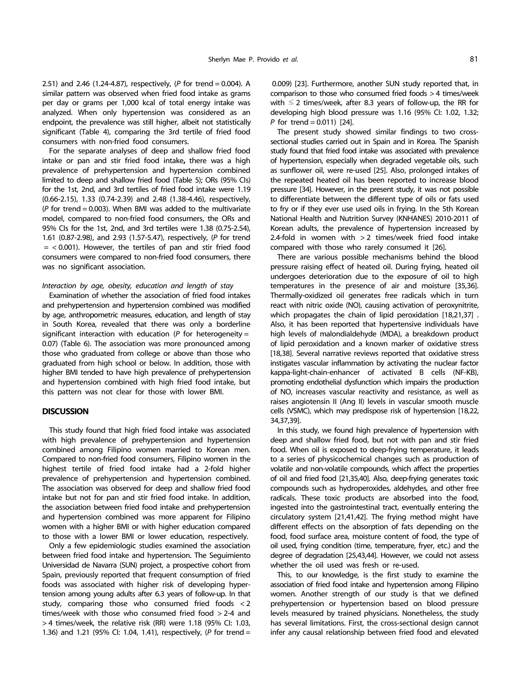2.51) and 2.46 (1.24-4.87), respectively, (*P* for trend = 0.004). A similar pattern was observed when fried food intake as grams per day or grams per 1,000 kcal of total energy intake was analyzed. When only hypertension was considered as an endpoint, the prevalence was still higher, albeit not statistically significant (Table 4), comparing the 3rd tertile of fried food consumers with non-fried food consumers.

For the separate analyses of deep and shallow fried food intake or pan and stir fried food intake**,** there was a high prevalence of prehypertension and hypertension combined limited to deep and shallow fried food (Table 5); ORs (95% CIs) for the 1st, 2nd, and 3rd tertiles of fried food intake were 1.19 (0.66-2.15), 1.33 (0.74-2.39) and 2.48 (1.38-4.46), respectively, (*P* for trend = 0.003). When BMI was added to the multivariate model, compared to non-fried food consumers, the ORs and 95% CIs for the 1st, 2nd, and 3rd tertiles were 1.38 (0.75-2.54), 1.61 (0.87-2.98), and 2.93 (1.57-5.47), respectively, (*P* for trend  $=$  < 0.001). However, the tertiles of pan and stir fried food consumers were compared to non-fried food consumers, there was no significant association.

## *Interaction by age, obesity, education and length of stay*

Examination of whether the association of fried food intakes and prehypertension and hypertension combined was modified by age, anthropometric measures, education, and length of stay in South Korea, revealed that there was only a borderline significant interaction with education ( $P$  for heterogeneity = 0.07) (Table 6). The association was more pronounced among those who graduated from college or above than those who graduated from high school or below. In addition, those with higher BMI tended to have high prevalence of prehypertension and hypertension combined with high fried food intake, but this pattern was not clear for those with lower BMI.

## **DISCUSSION**

This study found that high fried food intake was associated with high prevalence of prehypertension and hypertension combined among Filipino women married to Korean men. Compared to non-fried food consumers, Filipino women in the highest tertile of fried food intake had a 2-fold higher prevalence of prehypertension and hypertension combined. The association was observed for deep and shallow fried food intake but not for pan and stir fried food intake. In addition, the association between fried food intake and prehypertension and hypertension combined was more apparent for Filipino women with a higher BMI or with higher education compared to those with a lower BMI or lower education, respectively.

Only a few epidemiologic studies examined the association between fried food intake and hypertension. The Seguimiento Universidad de Navarra (SUN) project, a prospective cohort from Spain, previously reported that frequent consumption of fried foods was associated with higher risk of developing hypertension among young adults after 6.3 years of follow-up. In that study, comparing those who consumed fried foods < 2 times/week with those who consumed fried food > 2-4 and > 4 times/week, the relative risk (RR) were 1.18 (95% CI: 1.03, 1.36) and 1.21 (95% CI: 1.04, 1.41), respectively, (*P* for trend =

0.009) [23]. Furthermore, another SUN study reported that, in comparison to those who consumed fried foods > 4 times/week with  $\leq$  2 times/week, after 8.3 years of follow-up, the RR for developing high blood pressure was 1.16 (95% CI: 1.02, 1.32; *P* for trend = 0.011) [24].

The present study showed similar findings to two crosssectional studies carried out in Spain and in Korea. The Spanish study found that fried food intake was associated with prevalence of hypertension, especially when degraded vegetable oils, such as sunflower oil, were re-used [25]. Also, prolonged intakes of the repeated heated oil has been reported to increase blood pressure [34]. However, in the present study, it was not possible to differentiate between the different type of oils or fats used to fry or if they ever use used oils in frying. In the 5th Korean National Health and Nutrition Survey (KNHANES) 2010-2011 of Korean adults, the prevalence of hypertension increased by 2.4-fold in women with > 2 times/week fried food intake compared with those who rarely consumed it [26].

There are various possible mechanisms behind the blood pressure raising effect of heated oil. During frying, heated oil undergoes deterioration due to the exposure of oil to high temperatures in the presence of air and moisture [35,36]. Thermally-oxidized oil generates free radicals which in turn react with nitric oxide (NO), causing activation of peroxynitrite, which propagates the chain of lipid peroxidation [18,21,37] . Also, it has been reported that hypertensive individuals have high levels of malondialdehyde (MDA), a breakdown product of lipid peroxidation and a known marker of oxidative stress [18,38]. Several narrative reviews reported that oxidative stress instigates vascular inflammation by activating the nuclear factor kappa-light-chain-enhancer of activated B cells (NF-KB), promoting endothelial dysfunction which impairs the production of NO, increases vascular reactivity and resistance, as well as raises angiotensin II (Ang II) levels in vascular smooth muscle cells (VSMC), which may predispose risk of hypertension [18,22, 34,37,39].

In this study, we found high prevalence of hypertension with deep and shallow fried food, but not with pan and stir fried food. When oil is exposed to deep-frying temperature, it leads to a series of physicochemical changes such as production of volatile and non-volatile compounds, which affect the properties of oil and fried food [21,35,40]. Also, deep-frying generates toxic compounds such as hydroperoxides, aldehydes, and other free radicals. These toxic products are absorbed into the food, ingested into the gastrointestinal tract, eventually entering the circulatory system [21,41,42]. The frying method might have different effects on the absorption of fats depending on the food, food surface area, moisture content of food, the type of oil used, frying condition (time, temperature, fryer, etc.) and the degree of degradation [25,43,44]. However, we could not assess whether the oil used was fresh or re-used.

This, to our knowledge, is the first study to examine the association of fried food intake and hypertension among Filipino women. Another strength of our study is that we defined prehypertension or hypertension based on blood pressure levels measured by trained physicians. Nonetheless, the study has several limitations. First, the cross-sectional design cannot infer any causal relationship between fried food and elevated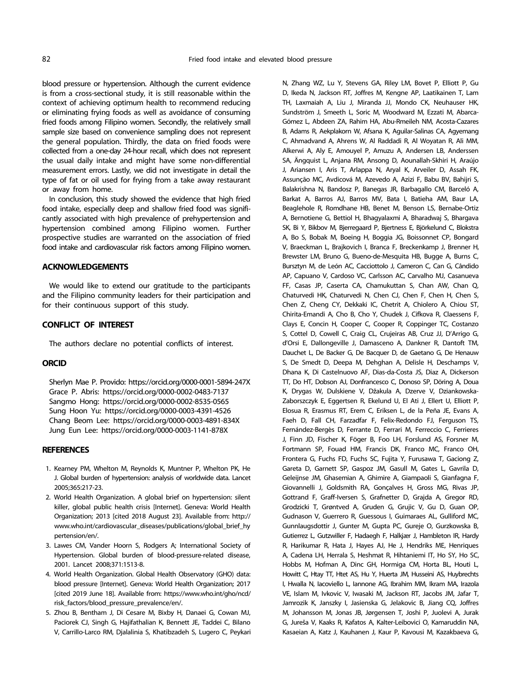blood pressure or hypertension. Although the current evidence is from a cross-sectional study, it is still reasonable within the context of achieving optimum health to recommend reducing or eliminating frying foods as well as avoidance of consuming fried foods among Filipino women. Secondly, the relatively small sample size based on convenience sampling does not represent the general population. Thirdly, the data on fried foods were collected from a one-day 24-hour recall, which does not represent the usual daily intake and might have some non-differential measurement errors. Lastly, we did not investigate in detail the type of fat or oil used for frying from a take away restaurant or away from home.

In conclusion, this study showed the evidence that high fried food intake, especially deep and shallow fried food was significantly associated with high prevalence of prehypertension and hypertension combined among Filipino women. Further prospective studies are warranted on the association of fried food intake and cardiovascular risk factors among Filipino women.

# **ACKNOWLEDGEMENTS**

We would like to extend our gratitude to the participants and the Filipino community leaders for their participation and for their continuous support of this study.

# **CONFLICT OF INTEREST**

The authors declare no potential conflicts of interest.

## **ORCID**

Sherlyn Mae P. Provido: https://orcid.org/0000-0001-5894-247X Grace P. Abris: https://orcid.org/0000-0002-0483-7137 Sangmo Hong: https://orcid.org/0000-0002-8535-0565 Sung Hoon Yu: https://orcid.org/0000-0003-4391-4526 Chang Beom Lee: https://orcid.org/0000-0003-4891-834X Jung Eun Lee: https://orcid.org/0000-0003-1141-878X

#### **REFERENCES**

- 1. Kearney PM, Whelton M, Reynolds K, Muntner P, Whelton PK, He J. Global burden of hypertension: analysis of worldwide data. Lancet 2005;365:217-23.
- 2. World Health Organization. A global brief on hypertension: silent killer, global public health crisis [Internet]. Geneva: World Health Organization; 2013 [cited 2018 August 23]. Available from: http:// www.who.int/cardiovascular\_diseases/publications/global\_brief\_hy pertension/en/.
- 3. Lawes CM, Vander Hoorn S, Rodgers A; International Society of Hypertension. Global burden of blood-pressure-related disease, 2001. Lancet 2008;371:1513-8.
- 4. World Health Organization. Global Health Observatory (GHO) data: blood pressure [Internet]. Geneva: World Health Organization; 2017 [cited 2019 June 18]. Available from: https://www.who.int/gho/ncd/ risk\_factors/blood\_pressure\_prevalence/en/.
- 5. Zhou B, Bentham J, Di Cesare M, Bixby H, Danaei G, Cowan MJ, Paciorek CJ, Singh G, Hajifathalian K, Bennett JE, Taddei C, Bilano V, Carrillo-Larco RM, Djalalinia S, Khatibzadeh S, Lugero C, Peykari

N, Zhang WZ, Lu Y, Stevens GA, Riley LM, Bovet P, Elliott P, Gu D, Ikeda N, Jackson RT, Joffres M, Kengne AP, Laatikainen T, Lam TH, Laxmaiah A, Liu J, Miranda JJ, Mondo CK, Neuhauser HK, Sundström J, Smeeth L, Soric M, Woodward M, Ezzati M, Abarca-Gómez L, Abdeen ZA, Rahim HA, Abu-Rmeileh NM, Acosta-Cazares B, Adams R, Aekplakorn W, Afsana K, Aguilar-Salinas CA, Agyemang C, Ahmadvand A, Ahrens W, Al Raddadi R, Al Woyatan R, Ali MM, Alkerwi A, Aly E, Amouyel P, Amuzu A, Andersen LB, Anderssen SA, Ängquist L, Anjana RM, Ansong D, Aounallah-Skhiri H, Araújo J, Ariansen I, Aris T, Arlappa N, Aryal K, Arveiler D, Assah FK, Assunção MC, Avdicová M, Azevedo A, Azizi F, Babu BV, Bahijri S, Balakrishna N, Bandosz P, Banegas JR, Barbagallo CM, Barceló A, Barkat A, Barros AJ, Barros MV, Bata I, Batieha AM, Baur LA, Beaglehole R, Romdhane HB, Benet M, Benson LS, Bernabe-Ortiz A, Bernotiene G, Bettiol H, Bhagyalaxmi A, Bharadwaj S, Bhargava SK, Bi Y, Bikbov M, Bjerregaard P, Bjertness E, Björkelund C, Blokstra A, Bo S, Bobak M, Boeing H, Boggia JG, Boissonnet CP, Bongard V, Braeckman L, Brajkovich I, Branca F, Breckenkamp J, Brenner H, Brewster LM, Bruno G, Bueno-de-Mesquita HB, Bugge A, Burns C, Bursztyn M, de León AC, Cacciottolo J, Cameron C, Can G, Cândido AP, Capuano V, Cardoso VC, Carlsson AC, Carvalho MJ, Casanueva FF, Casas JP, Caserta CA, Chamukuttan S, Chan AW, Chan Q, Chaturvedi HK, Chaturvedi N, Chen CJ, Chen F, Chen H, Chen S, Chen Z, Cheng CY, Dekkaki IC, Chetrit A, Chiolero A, Chiou ST, Chirita-Emandi A, Cho B, Cho Y, Chudek J, Cifkova R, Claessens F, Clays E, Concin H, Cooper C, Cooper R, Coppinger TC, Costanzo S, Cottel D, Cowell C, Craig CL, Crujeiras AB, Cruz JJ, D'Arrigo G, d'Orsi E, Dallongeville J, Damasceno A, Dankner R, Dantoft TM, Dauchet L, De Backer G, De Bacquer D, de Gaetano G, De Henauw S, De Smedt D, Deepa M, Dehghan A, Delisle H, Deschamps V, Dhana K, Di Castelnuovo AF, Dias-da-Costa JS, Diaz A, Dickerson TT, Do HT, Dobson AJ, Donfrancesco C, Donoso SP, Döring A, Doua K, Drygas W, Dulskiene V, Džakula A, Dzerve V, Dziankowska-Zaborszczyk E, Eggertsen R, Ekelund U, El Ati J, Ellert U, Elliott P, Elosua R, Erasmus RT, Erem C, Eriksen L, de la Peña JE, Evans A, Faeh D, Fall CH, Farzadfar F, Felix-Redondo FJ, Ferguson TS, Fernández-Bergés D, Ferrante D, Ferrari M, Ferreccio C, Ferrieres J, Finn JD, Fischer K, Föger B, Foo LH, Forslund AS, Forsner M, Fortmann SP, Fouad HM, Francis DK, Franco MC, Franco OH, Frontera G, Fuchs FD, Fuchs SC, Fujita Y, Furusawa T, Gaciong Z, Gareta D, Garnett SP, Gaspoz JM, Gasull M, Gates L, Gavrila D, Geleijnse JM, Ghasemian A, Ghimire A, Giampaoli S, Gianfagna F, Giovannelli J, Goldsmith RA, Gonçalves H, Gross MG, Rivas JP, Gottrand F, Graff-Iversen S, Grafnetter D, Grajda A, Gregor RD, Grodzicki T, Grøntved A, Gruden G, Grujic V, Gu D, Guan OP, Gudnason V, Guerrero R, Guessous I, Guimaraes AL, Gulliford MC, Gunnlaugsdottir J, Gunter M, Gupta PC, Gureje O, Gurzkowska B, Gutierrez L, Gutzwiller F, Hadaegh F, Halkjær J, Hambleton IR, Hardy R, Harikumar R, Hata J, Hayes AJ, He J, Hendriks ME, Henriques A, Cadena LH, Herrala S, Heshmat R, Hihtaniemi IT, Ho SY, Ho SC, Hobbs M, Hofman A, Dinc GH, Hormiga CM, Horta BL, Houti L, Howitt C, Htay TT, Htet AS, Hu Y, Huerta JM, Husseini AS, Huybrechts I, Hwalla N, Iacoviello L, Iannone AG, Ibrahim MM, Ikram MA, Irazola VE, Islam M, Ivkovic V, Iwasaki M, Jackson RT, Jacobs JM, Jafar T, Jamrozik K, Janszky I, Jasienska G, Jelakovic B, Jiang CQ, Joffres M, Johansson M, Jonas JB, Jørgensen T, Joshi P, Juolevi A, Jurak G, Jureša V, Kaaks R, Kafatos A, Kalter-Leibovici O, Kamaruddin NA, Kasaeian A, Katz J, Kauhanen J, Kaur P, Kavousi M, Kazakbaeva G,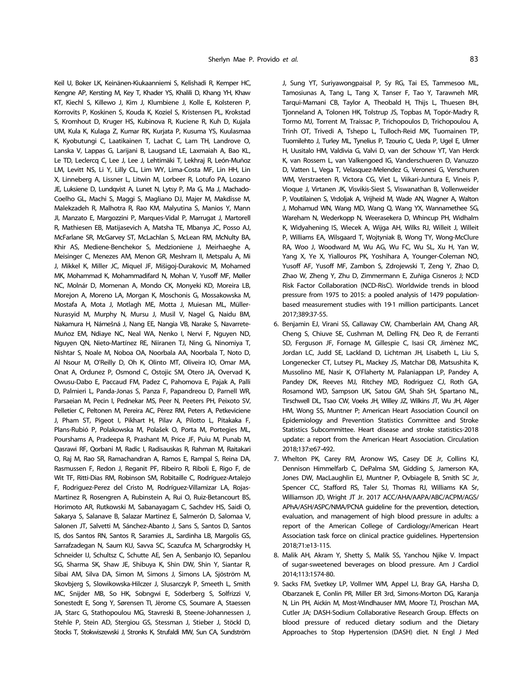Keil U, Boker LK, Keinänen-Kiukaanniemi S, Kelishadi R, Kemper HC, Kengne AP, Kersting M, Key T, Khader YS, Khalili D, Khang YH, Khaw KT, Kiechl S, Killewo J, Kim J, Klumbiene J, Kolle E, Kolsteren P, Korrovits P, Koskinen S, Kouda K, Koziel S, Kristensen PL, Krokstad S, Kromhout D, Kruger HS, Kubinova R, Kuciene R, Kuh D, Kujala UM, Kula K, Kulaga Z, Kumar RK, Kurjata P, Kusuma YS, Kuulasmaa K, Kyobutungi C, Laatikainen T, Lachat C, Lam TH, Landrove O, Lanska V, Lappas G, Larijani B, Laugsand LE, Laxmaiah A, Bao KL, Le TD, Leclercq C, Lee J, Lee J, Lehtimäki T, Lekhraj R, León-Muñoz LM, Levitt NS, Li Y, Lilly CL, Lim WY, Lima-Costa MF, Lin HH, Lin X, Linneberg A, Lissner L, Litwin M, Lorbeer R, Lotufo PA, Lozano JE, Luksiene D, Lundqvist A, Lunet N, Lytsy P, Ma G, Ma J, Machado-Coelho GL, Machi S, Maggi S, Magliano DJ, Majer M, Makdisse M, Malekzadeh R, Malhotra R, Rao KM, Malyutina S, Manios Y, Mann JI, Manzato E, Margozzini P, Marques-Vidal P, Marrugat J, Martorell R, Mathiesen EB, Matijasevich A, Matsha TE, Mbanya JC, Posso AJ, McFarlane SR, McGarvey ST, McLachlan S, McLean RM, McNulty BA, Khir AS, Mediene-Benchekor S, Medzioniene J, Meirhaeghe A, Meisinger C, Menezes AM, Menon GR, Meshram II, Metspalu A, Mi J, Mikkel K, Miller JC, Miquel JF, Mišigoj-Durakovic M, Mohamed MK, Mohammad K, Mohammadifard N, Mohan V, Yusoff MF, Møller NC, Molnár D, Momenan A, Mondo CK, Monyeki KD, Moreira LB, Morejon A, Moreno LA, Morgan K, Moschonis G, Mossakowska M, Mostafa A, Mota J, Motlagh ME, Motta J, Muiesan ML, Müller-Nurasyid M, Murphy N, Mursu J, Musil V, Nagel G, Naidu BM, Nakamura H, Námešná J, Nang EE, Nangia VB, Narake S, Navarrete-Muñoz EM, Ndiaye NC, Neal WA, Nenko I, Nervi F, Nguyen ND, Nguyen QN, Nieto-Martínez RE, Niiranen TJ, Ning G, Ninomiya T, Nishtar S, Noale M, Noboa OA, Noorbala AA, Noorbala T, Noto D, Al Nsour M, O'Reilly D, Oh K, Olinto MT, Oliveira IO, Omar MA, Onat A, Ordunez P, Osmond C, Ostojic SM, Otero JA, Overvad K, Owusu-Dabo E, Paccaud FM, Padez C, Pahomova E, Pajak A, Palli D, Palmieri L, Panda-Jonas S, Panza F, Papandreou D, Parnell WR, Parsaeian M, Pecin I, Pednekar MS, Peer N, Peeters PH, Peixoto SV, Pelletier C, Peltonen M, Pereira AC, Pérez RM, Peters A, Petkeviciene J, Pham ST, Pigeot I, Pikhart H, Pilav A, Pilotto L, Pitakaka F, Plans-Rubió P, Polakowska M, Polašek O, Porta M, Portegies ML, Pourshams A, Pradeepa R, Prashant M, Price JF, Puiu M, Punab M, Qasrawi RF, Qorbani M, Radic I, Radisauskas R, Rahman M, Raitakari O, Raj M, Rao SR, Ramachandran A, Ramos E, Rampal S, Reina DA, Rasmussen F, Redon J, Reganit PF, Ribeiro R, Riboli E, Rigo F, de Wit TF, Ritti-Dias RM, Robinson SM, Robitaille C, Rodríguez-Artalejo F, Rodriguez-Perez del Cristo M, Rodríguez-Villamizar LA, Rojas-Martinez R, Rosengren A, Rubinstein A, Rui O, Ruiz-Betancourt BS, Horimoto AR, Rutkowski M, Sabanayagam C, Sachdev HS, Saidi O, Sakarya S, Salanave B, Salazar Martinez E, Salmerón D, Salomaa V, Salonen JT, Salvetti M, Sánchez-Abanto J, Sans S, Santos D, Santos IS, dos Santos RN, Santos R, Saramies JL, Sardinha LB, Margolis GS, Sarrafzadegan N, Saum KU, Savva SC, Scazufca M, Schargrodsky H, Schneider IJ, Schultsz C, Schutte AE, Sen A, Senbanjo IO, Sepanlou SG, Sharma SK, Shaw JE, Shibuya K, Shin DW, Shin Y, Siantar R, Sibai AM, Silva DA, Simon M, Simons J, Simons LA, Sjöström M, Skovbjerg S, Slowikowska-Hilczer J, Slusarczyk P, Smeeth L, Smith MC, Snijder MB, So HK, Sobngwi E, Söderberg S, Solfrizzi V, Sonestedt E, Song Y, Sørensen TI, Jérome CS, Soumare A, Staessen JA, Starc G, Stathopoulou MG, Stavreski B, Steene-Johannessen J, Stehle P, Stein AD, Stergiou GS, Stessman J, Stieber J, Stöckl D, Stocks T, Stokwiszewski J, Stronks K, Strufaldi MW, Sun CA, Sundström

J, Sung YT, Suriyawongpaisal P, Sy RG, Tai ES, Tammesoo ML, Tamosiunas A, Tang L, Tang X, Tanser F, Tao Y, Tarawneh MR, Tarqui-Mamani CB, Taylor A, Theobald H, Thijs L, Thuesen BH, Tjonneland A, Tolonen HK, Tolstrup JS, Topbas M, Topór-Madry R, Tormo MJ, Torrent M, Traissac P, Trichopoulos D, Trichopoulou A, Trinh OT, Trivedi A, Tshepo L, Tulloch-Reid MK, Tuomainen TP, Tuomilehto J, Turley ML, Tynelius P, Tzourio C, Ueda P, Ugel E, Ulmer H, Uusitalo HM, Valdivia G, Valvi D, van der Schouw YT, Van Herck K, van Rossem L, van Valkengoed IG, Vanderschueren D, Vanuzzo D, Vatten L, Vega T, Velasquez-Melendez G, Veronesi G, Verschuren WM, Verstraeten R, Victora CG, Viet L, Viikari-Juntura E, Vineis P, Vioque J, Virtanen JK, Visvikis-Siest S, Viswanathan B, Vollenweider P, Voutilainen S, Vrdoljak A, Vrijheid M, Wade AN, Wagner A, Walton J, Mohamud WN, Wang MD, Wang Q, Wang YX, Wannamethee SG, Wareham N, Wederkopp N, Weerasekera D, Whincup PH, Widhalm K, Widyahening IS, Wiecek A, Wijga AH, Wilks RJ, Willeit J, Willeit P, Williams EA, Wilsgaard T, Wojtyniak B, Wong TY, Wong-McClure RA, Woo J, Woodward M, Wu AG, Wu FC, Wu SL, Xu H, Yan W, Yang X, Ye X, Yiallouros PK, Yoshihara A, Younger-Coleman NO, Yusoff AF, Yusoff MF, Zambon S, Zdrojewski T, Zeng Y, Zhao D, Zhao W, Zheng Y, Zhu D, Zimmermann E, Zuñiga Cisneros J; NCD Risk Factor Collaboration (NCD-RisC). Worldwide trends in blood pressure from 1975 to 2015: a pooled analysis of 1479 populationbased measurement studies with 19·1 million participants. Lancet 2017;389:37-55.

- 6. Benjamin EJ, Virani SS, Callaway CW, Chamberlain AM, Chang AR, Cheng S, Chiuve SE, Cushman M, Delling FN, Deo R, de Ferranti SD, Ferguson JF, Fornage M, Gillespie C, Isasi CR, Jiménez MC, Jordan LC, Judd SE, Lackland D, Lichtman JH, Lisabeth L, Liu S, Longenecker CT, Lutsey PL, Mackey JS, Matchar DB, Matsushita K, Mussolino ME, Nasir K, O'Flaherty M, Palaniappan LP, Pandey A, Pandey DK, Reeves MJ, Ritchey MD, Rodriguez CJ, Roth GA, Rosamond WD, Sampson UK, Satou GM, Shah SH, Spartano NL, Tirschwell DL, Tsao CW, Voeks JH, Willey JZ, Wilkins JT, Wu JH, Alger HM, Wong SS, Muntner P; American Heart Association Council on Epidemiology and Prevention Statistics Committee and Stroke Statistics Subcommittee. Heart disease and stroke statistics-2018 update: a report from the American Heart Association. Circulation 2018;137:e67-492.
- 7. Whelton PK, Carey RM, Aronow WS, Casey DE Jr, Collins KJ, Dennison Himmelfarb C, DePalma SM, Gidding S, Jamerson KA, Jones DW, MacLaughlin EJ, Muntner P, Ovbiagele B, Smith SC Jr, Spencer CC, Stafford RS, Taler SJ, Thomas RJ, Williams KA Sr, Williamson JD, Wright JT Jr. 2017 ACC/AHA/AAPA/ABC/ACPM/AGS/ APhA/ASH/ASPC/NMA/PCNA guideline for the prevention, detection, evaluation, and management of high blood pressure in adults: a report of the American College of Cardiology/American Heart Association task force on clinical practice guidelines. Hypertension 2018;71:e13-115.
- 8. Malik AH, Akram Y, Shetty S, Malik SS, Yanchou Njike V. Impact of sugar-sweetened beverages on blood pressure. Am J Cardiol 2014;113:1574-80.
- 9. Sacks FM, Svetkey LP, Vollmer WM, Appel LJ, Bray GA, Harsha D, Obarzanek E, Conlin PR, Miller ER 3rd, Simons-Morton DG, Karanja N, Lin PH, Aickin M, Most-Windhauser MM, Moore TJ, Proschan MA, Cutler JA; DASH-Sodium Collaborative Research Group. Effects on blood pressure of reduced dietary sodium and the Dietary Approaches to Stop Hypertension (DASH) diet. N Engl J Med